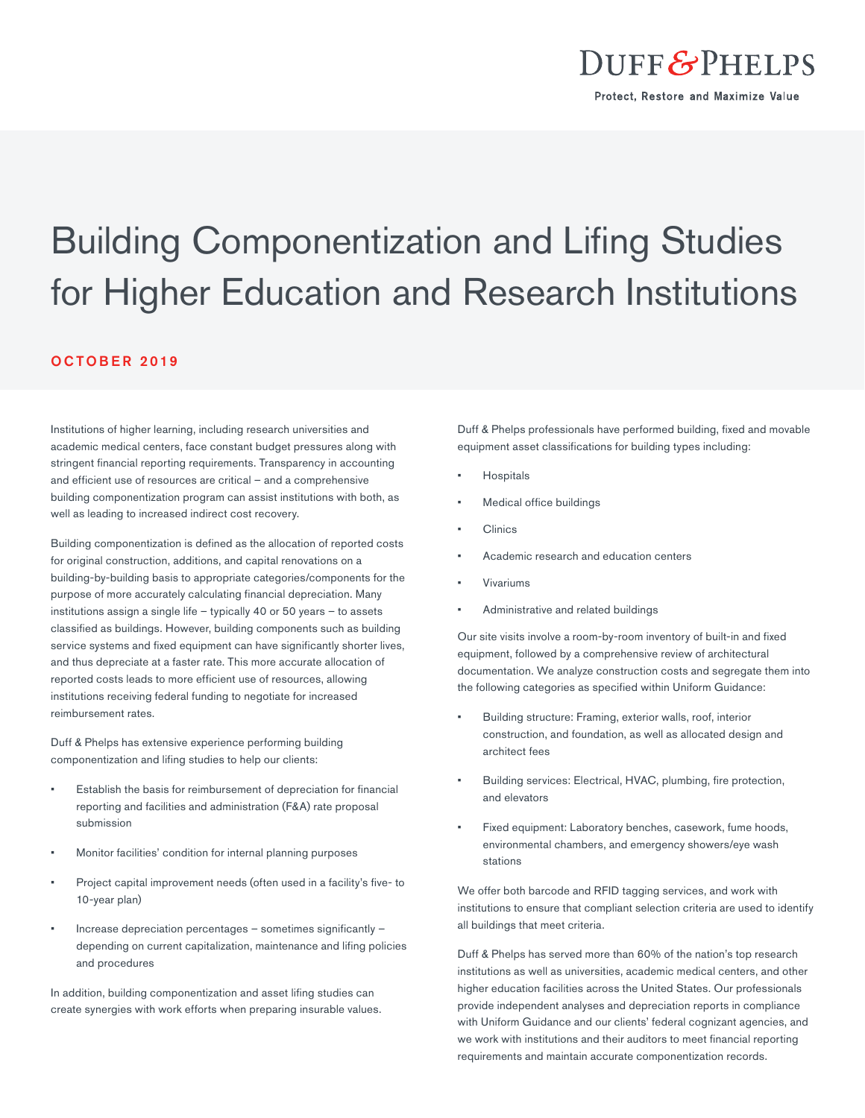

## Building Componentization and Lifing Studies for Higher Education and Research Institutions

## OCTOBER 2019

Institutions of higher learning, including research universities and academic medical centers, face constant budget pressures along with stringent financial reporting requirements. Transparency in accounting and efficient use of resources are critical – and a comprehensive building componentization program can assist institutions with both, as well as leading to increased indirect cost recovery.

Building componentization is defined as the allocation of reported costs for original construction, additions, and capital renovations on a building-by-building basis to appropriate categories/components for the purpose of more accurately calculating financial depreciation. Many institutions assign a single life – typically 40 or 50 years – to assets classified as buildings. However, building components such as building service systems and fixed equipment can have significantly shorter lives, and thus depreciate at a faster rate. This more accurate allocation of reported costs leads to more efficient use of resources, allowing institutions receiving federal funding to negotiate for increased reimbursement rates.

Duff & Phelps has extensive experience performing building componentization and lifing studies to help our clients:

- Establish the basis for reimbursement of depreciation for financial reporting and facilities and administration (F&A) rate proposal submission
- Monitor facilities' condition for internal planning purposes
- Project capital improvement needs (often used in a facility's five- to 10-year plan)
- Increase depreciation percentages sometimes significantly depending on current capitalization, maintenance and lifing policies and procedures

In addition, building componentization and asset lifing studies can create synergies with work efforts when preparing insurable values. Duff & Phelps professionals have performed building, fixed and movable equipment asset classifications for building types including:

- **Hospitals**
- Medical office buildings
- Clinics
- Academic research and education centers
- Vivariums
- Administrative and related buildings

Our site visits involve a room-by-room inventory of built-in and fixed equipment, followed by a comprehensive review of architectural documentation. We analyze construction costs and segregate them into the following categories as specified within Uniform Guidance:

- Building structure: Framing, exterior walls, roof, interior construction, and foundation, as well as allocated design and architect fees
- Building services: Electrical, HVAC, plumbing, fire protection, and elevators
- Fixed equipment: Laboratory benches, casework, fume hoods, environmental chambers, and emergency showers/eye wash stations

We offer both barcode and RFID tagging services, and work with institutions to ensure that compliant selection criteria are used to identify all buildings that meet criteria.

Duff & Phelps has served more than 60% of the nation's top research institutions as well as universities, academic medical centers, and other higher education facilities across the United States. Our professionals provide independent analyses and depreciation reports in compliance with Uniform Guidance and our clients' federal cognizant agencies, and we work with institutions and their auditors to meet financial reporting requirements and maintain accurate componentization records.